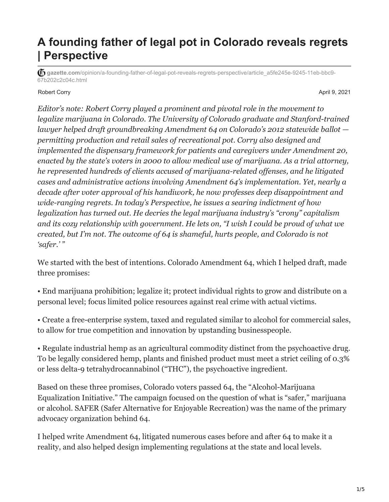## **A founding father of legal pot in Colorado reveals regrets | Perspective**

**gazette.com**[/opinion/a-founding-father-of-legal-pot-reveals-regrets-perspective/article\\_a5fe245e-9245-11eb-bbc9-](https://gazette.com/opinion/a-founding-father-of-legal-pot-reveals-regrets-perspective/article_a5fe245e-9245-11eb-bbc9-67b202c2c04c.html) 67b202c2c04c.html

Robert Corry April 9, 2021 **April 9, 2021** 

*Editor's note: Robert Corry played a prominent and pivotal role in the movement to legalize marijuana in Colorado. The University of Colorado graduate and Stanford-trained lawyer helped draft groundbreaking Amendment 64 on Colorado's 2012 statewide ballot permitting production and retail sales of recreational pot. Corry also designed and implemented the dispensary framework for patients and caregivers under Amendment 20, enacted by the state's voters in 2000 to allow medical use of marijuana. As a trial attorney, he represented hundreds of clients accused of marijuana-related offenses, and he litigated cases and administrative actions involving Amendment 64's implementation. Yet, nearly a decade after voter approval of his handiwork, he now professes deep disappointment and wide-ranging regrets. In today's Perspective, he issues a searing indictment of how legalization has turned out. He decries the legal marijuana industry's "crony" capitalism and its cozy relationship with government. He lets on, "I wish I could be proud of what we created, but I'm not. The outcome of 64 is shameful, hurts people, and Colorado is not 'safer.' "*

We started with the best of intentions. Colorado Amendment 64, which I helped draft, made three promises:

• End marijuana prohibition; legalize it; protect individual rights to grow and distribute on a personal level; focus limited police resources against real crime with actual victims.

• Create a free-enterprise system, taxed and regulated similar to alcohol for commercial sales, to allow for true competition and innovation by upstanding businesspeople.

• Regulate industrial hemp as an agricultural commodity distinct from the psychoactive drug. To be legally considered hemp, plants and finished product must meet a strict ceiling of 0.3% or less delta-9 tetrahydrocannabinol ("THC"), the psychoactive ingredient.

Based on these three promises, Colorado voters passed 64, the "Alcohol-Marijuana Equalization Initiative." The campaign focused on the question of what is "safer," marijuana or alcohol. SAFER (Safer Alternative for Enjoyable Recreation) was the name of the primary advocacy organization behind 64.

I helped write Amendment 64, litigated numerous cases before and after 64 to make it a reality, and also helped design implementing regulations at the state and local levels.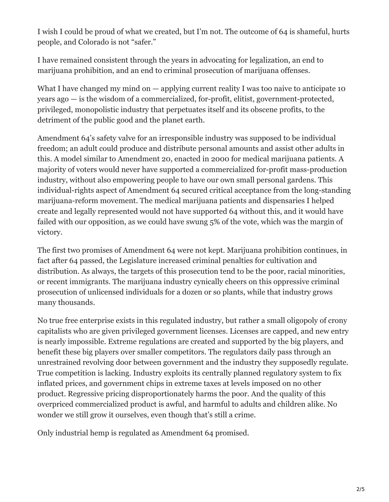I wish I could be proud of what we created, but I'm not. The outcome of 64 is shameful, hurts people, and Colorado is not "safer."

I have remained consistent through the years in advocating for legalization, an end to marijuana prohibition, and an end to criminal prosecution of marijuana offenses.

What I have changed my mind on  $-$  applying current reality I was too naive to anticipate 10 years ago — is the wisdom of a commercialized, for-profit, elitist, government-protected, privileged, monopolistic industry that perpetuates itself and its obscene profits, to the detriment of the public good and the planet earth.

Amendment 64's safety valve for an irresponsible industry was supposed to be individual freedom; an adult could produce and distribute personal amounts and assist other adults in this. A model similar to Amendment 20, enacted in 2000 for medical marijuana patients. A majority of voters would never have supported a commercialized for-profit mass-production industry, without also empowering people to have our own small personal gardens. This individual-rights aspect of Amendment 64 secured critical acceptance from the long-standing marijuana-reform movement. The medical marijuana patients and dispensaries I helped create and legally represented would not have supported 64 without this, and it would have failed with our opposition, as we could have swung 5% of the vote, which was the margin of victory.

The first two promises of Amendment 64 were not kept. Marijuana prohibition continues, in fact after 64 passed, the Legislature increased criminal penalties for cultivation and distribution. As always, the targets of this prosecution tend to be the poor, racial minorities, or recent immigrants. The marijuana industry cynically cheers on this oppressive criminal prosecution of unlicensed individuals for a dozen or so plants, while that industry grows many thousands.

No true free enterprise exists in this regulated industry, but rather a small oligopoly of crony capitalists who are given privileged government licenses. Licenses are capped, and new entry is nearly impossible. Extreme regulations are created and supported by the big players, and benefit these big players over smaller competitors. The regulators daily pass through an unrestrained revolving door between government and the industry they supposedly regulate. True competition is lacking. Industry exploits its centrally planned regulatory system to fix inflated prices, and government chips in extreme taxes at levels imposed on no other product. Regressive pricing disproportionately harms the poor. And the quality of this overpriced commercialized product is awful, and harmful to adults and children alike. No wonder we still grow it ourselves, even though that's still a crime.

Only industrial hemp is regulated as Amendment 64 promised.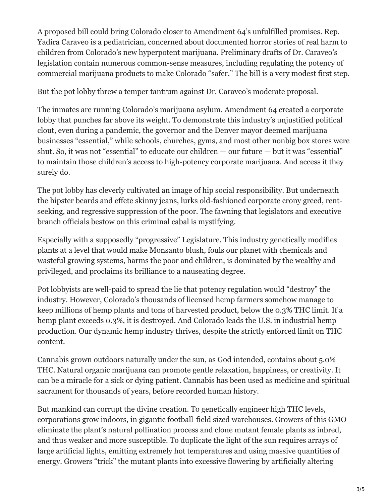A proposed bill could bring Colorado closer to Amendment 64's unfulfilled promises. Rep. Yadira Caraveo is a pediatrician, concerned about documented horror stories of real harm to children from Colorado's new hyperpotent marijuana. Preliminary drafts of Dr. Caraveo's legislation contain numerous common-sense measures, including regulating the potency of commercial marijuana products to make Colorado "safer." The bill is a very modest first step.

But the pot lobby threw a temper tantrum against Dr. Caraveo's moderate proposal.

The inmates are running Colorado's marijuana asylum. Amendment 64 created a corporate lobby that punches far above its weight. To demonstrate this industry's unjustified political clout, even during a pandemic, the governor and the Denver mayor deemed marijuana businesses "essential," while schools, churches, gyms, and most other nonbig box stores were shut. So, it was not "essential" to educate our children — our future — but it was "essential" to maintain those children's access to high-potency corporate marijuana. And access it they surely do.

The pot lobby has cleverly cultivated an image of hip social responsibility. But underneath the hipster beards and effete skinny jeans, lurks old-fashioned corporate crony greed, rentseeking, and regressive suppression of the poor. The fawning that legislators and executive branch officials bestow on this criminal cabal is mystifying.

Especially with a supposedly "progressive" Legislature. This industry genetically modifies plants at a level that would make Monsanto blush, fouls our planet with chemicals and wasteful growing systems, harms the poor and children, is dominated by the wealthy and privileged, and proclaims its brilliance to a nauseating degree.

Pot lobbyists are well-paid to spread the lie that potency regulation would "destroy" the industry. However, Colorado's thousands of licensed hemp farmers somehow manage to keep millions of hemp plants and tons of harvested product, below the 0.3% THC limit. If a hemp plant exceeds 0.3%, it is destroyed. And Colorado leads the U.S. in industrial hemp production. Our dynamic hemp industry thrives, despite the strictly enforced limit on THC content.

Cannabis grown outdoors naturally under the sun, as God intended, contains about 5.0% THC. Natural organic marijuana can promote gentle relaxation, happiness, or creativity. It can be a miracle for a sick or dying patient. Cannabis has been used as medicine and spiritual sacrament for thousands of years, before recorded human history.

But mankind can corrupt the divine creation. To genetically engineer high THC levels, corporations grow indoors, in gigantic football-field sized warehouses. Growers of this GMO eliminate the plant's natural pollination process and clone mutant female plants as inbred, and thus weaker and more susceptible. To duplicate the light of the sun requires arrays of large artificial lights, emitting extremely hot temperatures and using massive quantities of energy. Growers "trick" the mutant plants into excessive flowering by artificially altering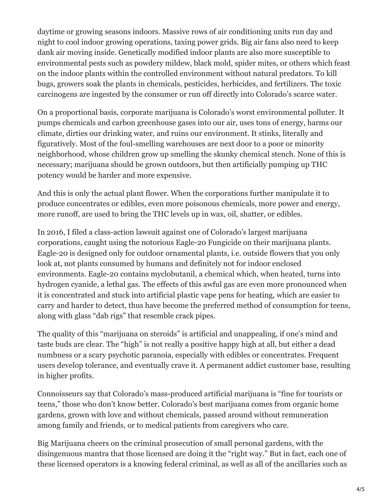daytime or growing seasons indoors. Massive rows of air conditioning units run day and night to cool indoor growing operations, taxing power grids. Big air fans also need to keep dank air moving inside. Genetically modified indoor plants are also more susceptible to environmental pests such as powdery mildew, black mold, spider mites, or others which feast on the indoor plants within the controlled environment without natural predators. To kill bugs, growers soak the plants in chemicals, pesticides, herbicides, and fertilizers. The toxic carcinogens are ingested by the consumer or run off directly into Colorado's scarce water.

On a proportional basis, corporate marijuana is Colorado's worst environmental polluter. It pumps chemicals and carbon greenhouse gases into our air, uses tons of energy, harms our climate, dirties our drinking water, and ruins our environment. It stinks, literally and figuratively. Most of the foul-smelling warehouses are next door to a poor or minority neighborhood, whose children grow up smelling the skunky chemical stench. None of this is necessary; marijuana should be grown outdoors, but then artificially pumping up THC potency would be harder and more expensive.

And this is only the actual plant flower. When the corporations further manipulate it to produce concentrates or edibles, even more poisonous chemicals, more power and energy, more runoff, are used to bring the THC levels up in wax, oil, shatter, or edibles.

In 2016, I filed a class-action lawsuit against one of Colorado's largest marijuana corporations, caught using the notorious Eagle-20 Fungicide on their marijuana plants. Eagle-20 is designed only for outdoor ornamental plants, i.e. outside flowers that you only look at, not plants consumed by humans and definitely not for indoor enclosed environments. Eagle-20 contains myclobutanil, a chemical which, when heated, turns into hydrogen cyanide, a lethal gas. The effects of this awful gas are even more pronounced when it is concentrated and stuck into artificial plastic vape pens for heating, which are easier to carry and harder to detect, thus have become the preferred method of consumption for teens, along with glass "dab rigs" that resemble crack pipes.

The quality of this "marijuana on steroids" is artificial and unappealing, if one's mind and taste buds are clear. The "high" is not really a positive happy high at all, but either a dead numbness or a scary psychotic paranoia, especially with edibles or concentrates. Frequent users develop tolerance, and eventually crave it. A permanent addict customer base, resulting in higher profits.

Connoisseurs say that Colorado's mass-produced artificial marijuana is "fine for tourists or teens," those who don't know better. Colorado's best marijuana comes from organic home gardens, grown with love and without chemicals, passed around without remuneration among family and friends, or to medical patients from caregivers who care.

Big Marijuana cheers on the criminal prosecution of small personal gardens, with the disingenuous mantra that those licensed are doing it the "right way." But in fact, each one of these licensed operators is a knowing federal criminal, as well as all of the ancillaries such as